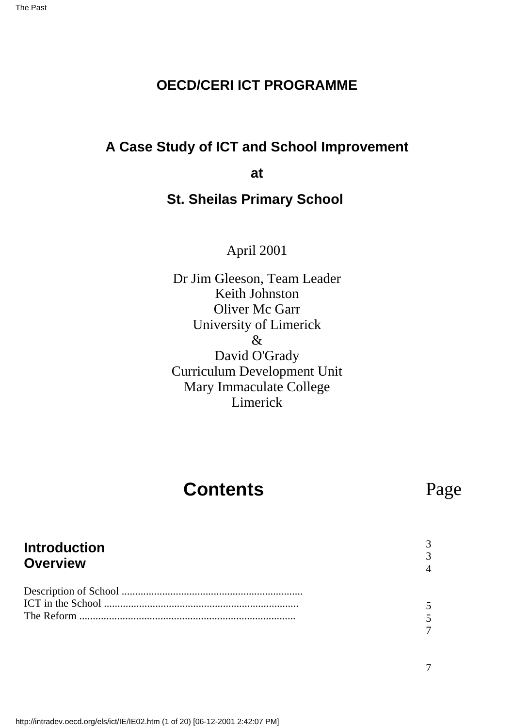### **OECD/CERI ICT PROGRAMME**

### **A Case Study of ICT and School Improvement**

**at**

### **St. Sheilas Primary School**

April 2001

Dr Jim Gleeson, Team Leader Keith Johnston Oliver Mc Garr University of Limerick & David O'Grady Curriculum Development Unit Mary Immaculate College Limerick

# **Contents**

# Page

#### **Introduction Overview** Description of School ................................................................... ICT in the School ........................................................................ The Reform ................................................................................ 3 3 4 5 5 7

7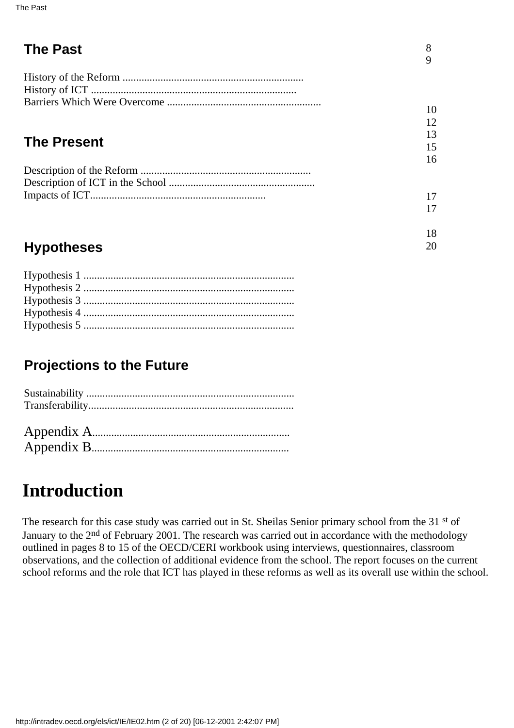| <b>The Past</b>    | 8<br>9 |
|--------------------|--------|
|                    |        |
|                    | 10     |
|                    | 12     |
|                    | 13     |
| <b>The Present</b> | 15     |
|                    | 16     |
|                    |        |
|                    |        |
|                    | 17     |
|                    | 17     |
|                    | 18     |

20

# **Hypotheses**

# **Projections to the Future**

# Appendix B.........................................................................

# **Introduction**

The research for this case study was carried out in St. Sheila s Senior primary school from the 31<sup>st</sup> of January to the 2<sup>nd</sup> of February 2001. The research was carried out in accordance with the methodology outlined in pages 8 to 15 of the OECD/CERI workbook using interviews, questionnaires, classroom observations, and the collection of additional evidence from the school. The report focuses on the current school reforms and the role that ICT has played in these reforms as well as its overall use within the school.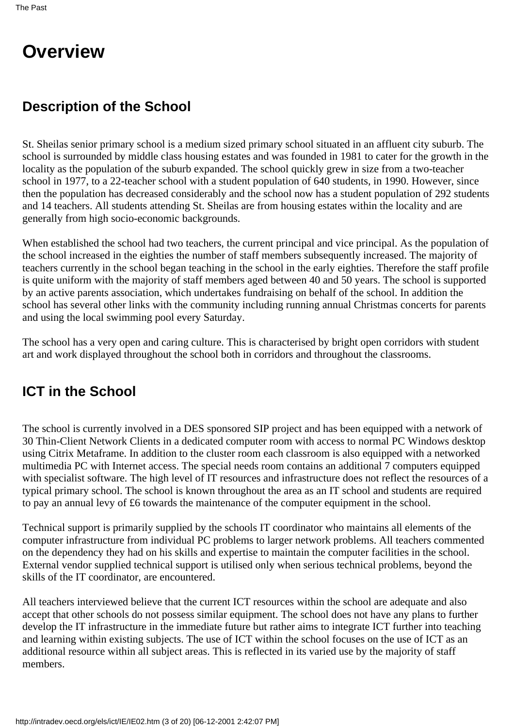# **Overview**

# **Description of the School**

St. Sheila s senior primary school is a medium sized primary school situated in an affluent city suburb. The school is surrounded by middle class housing estates and was founded in 1981 to cater for the growth in the locality as the population of the suburb expanded. The school quickly grew in size from a two-teacher school in 1977, to a 22-teacher school with a student population of 640 students, in 1990. However, since then the population has decreased considerably and the school now has a student population of 292 students and 14 teachers. All students attending St. Sheila s are from housing estates within the locality and are generally from high socio-economic backgrounds.

When established the school had two teachers, the current principal and vice principal. As the population of the school increased in the eighties the number of staff members subsequently increased. The majority of teachers currently in the school began teaching in the school in the early eighties. Therefore the staff profile is quite uniform with the majority of staff members aged between 40 and 50 years. The school is supported by an active parents association, which undertakes fundraising on behalf of the school. In addition the school has several other links with the community including running annual Christmas concerts for parents and using the local swimming pool every Saturday.

The school has a very open and caring culture. This is characterised by bright open corridors with student art and work displayed throughout the school both in corridors and throughout the classrooms.

# **ICT in the School**

The school is currently involved in a DES sponsored SIP project and has been equipped with a network of 30 Thin-Client Network Clients in a dedicated computer room with access to normal PC Windows desktop using Citrix Metaframe. In addition to the cluster room each classroom is also equipped with a networked multimedia PC with Internet access. The special needs room contains an additional 7 computers equipped with specialist software. The high level of IT resources and infrastructure does not reflect the resources of a typical primary school. The school is known throughout the area as an IT school and students are required to pay an annual levy of £6 towards the maintenance of the computer equipment in the school.

Technical support is primarily supplied by the schools IT coordinator who maintains all elements of the computer infrastructure from individual PC problems to larger network problems. All teachers commented on the dependency they had on his skills and expertise to maintain the computer facilities in the school. External vendor supplied technical support is utilised only when serious technical problems, beyond the skills of the IT coordinator, are encountered.

All teachers interviewed believe that the current ICT resources within the school are adequate and also accept that other schools do not possess similar equipment. The school does not have any plans to further develop the IT infrastructure in the immediate future but rather aims to integrate ICT further into teaching and learning within existing subjects. The use of ICT within the school focuses on the use of ICT as an additional resource within all subject areas. This is reflected in its varied use by the majority of staff members.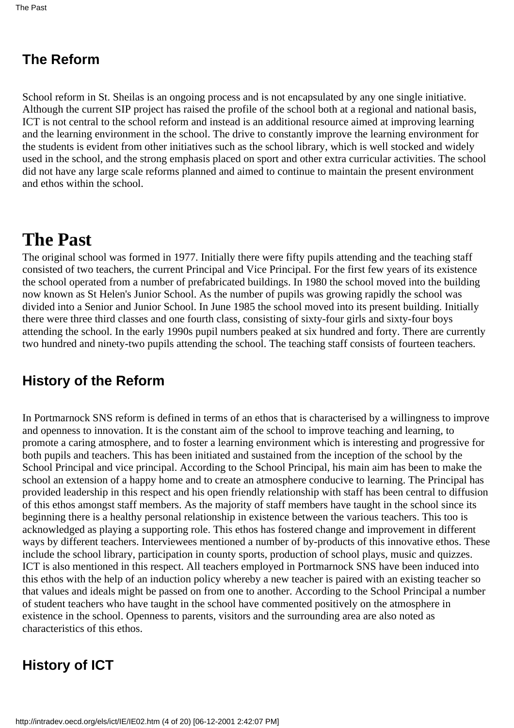## **The Reform**

School reform in St. Sheilas is an ongoing process and is not encapsulated by any one single initiative. Although the current SIP project has raised the profile of the school both at a regional and national basis, ICT is not central to the school reform and instead is an additional resource aimed at improving learning and the learning environment in the school. The drive to constantly improve the learning environment for the students is evident from other initiatives such as the school library, which is well stocked and widely used in the school, and the strong emphasis placed on sport and other extra curricular activities. The school did not have any large scale reforms planned and aimed to continue to maintain the present environment and ethos within the school.

# **The Past**

The original school was formed in 1977. Initially there were fifty pupils attending and the teaching staff consisted of two teachers, the current Principal and Vice Principal. For the first few years of its existence the school operated from a number of prefabricated buildings. In 1980 the school moved into the building now known as St Helen's Junior School. As the number of pupils was growing rapidly the school was divided into a Senior and Junior School. In June 1985 the school moved into its present building. Initially there were three third classes and one fourth class, consisting of sixty-four girls and sixty-four boys attending the school. In the early 1990s pupil numbers peaked at six hundred and forty. There are currently two hundred and ninety-two pupils attending the school. The teaching staff consists of fourteen teachers.

## **History of the Reform**

In Portmarnock SNS reform is defined in terms of an ethos that is characterised by a willingness to improve and openness to innovation. It is the constant aim of the school to improve teaching and learning, to promote a caring atmosphere, and to foster a learning environment which is interesting and progressive for both pupils and teachers. This has been initiated and sustained from the inception of the school by the School Principal and vice principal. According to the School Principal, his main aim has been to make the school an extension of a happy home and to create an atmosphere conducive to learning. The Principal has provided leadership in this respect and his open friendly relationship with staff has been central to diffusion of this ethos amongst staff members. As the majority of staff members have taught in the school since its beginning there is a healthy personal relationship in existence between the various teachers. This too is acknowledged as playing a supporting role. This ethos has fostered change and improvement in different ways by different teachers. Interviewees mentioned a number of by-products of this innovative ethos. These include the school library, participation in county sports, production of school plays, music and quizzes. ICT is also mentioned in this respect. All teachers employed in Portmarnock SNS have been induced into this ethos with the help of an induction policy whereby a new teacher is paired with an existing teacher so that values and ideals might be passed on from one to another. According to the School Principal a number of student teachers who have taught in the school have commented positively on the atmosphere in existence in the school. Openness to parents, visitors and the surrounding area are also noted as characteristics of this ethos.

# **History of ICT**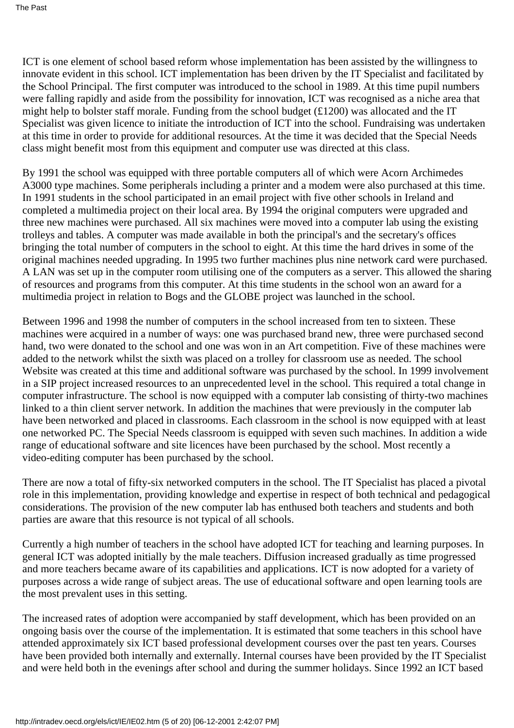ICT is one element of school based reform whose implementation has been assisted by the willingness to innovate evident in this school. ICT implementation has been driven by the IT Specialist and facilitated by the School Principal. The first computer was introduced to the school in 1989. At this time pupil numbers were falling rapidly and aside from the possibility for innovation, ICT was recognised as a niche area that might help to bolster staff morale. Funding from the school budget (£1200) was allocated and the IT Specialist was given licence to initiate the introduction of ICT into the school. Fundraising was undertaken at this time in order to provide for additional resources. At the time it was decided that the Special Needs class might benefit most from this equipment and computer use was directed at this class.

By 1991 the school was equipped with three portable computers all of which were Acorn Archimedes A3000 type machines. Some peripherals including a printer and a modem were also purchased at this time. In 1991 students in the school participated in an email project with five other schools in Ireland and completed a multimedia project on their local area. By 1994 the original computers were upgraded and three new machines were purchased. All six machines were moved into a computer lab using the existing trolleys and tables. A computer was made available in both the principal's and the secretary's offices bringing the total number of computers in the school to eight. At this time the hard drives in some of the original machines needed upgrading. In 1995 two further machines plus nine network card were purchased. A LAN was set up in the computer room utilising one of the computers as a server. This allowed the sharing of resources and programs from this computer. At this time students in the school won an award for a multimedia project in relation to Bogs and the GLOBE project was launched in the school.

Between 1996 and 1998 the number of computers in the school increased from ten to sixteen. These machines were acquired in a number of ways: one was purchased brand new, three were purchased second hand, two were donated to the school and one was won in an Art competition. Five of these machines were added to the network whilst the sixth was placed on a trolley for classroom use as needed. The school Website was created at this time and additional software was purchased by the school. In 1999 involvement in a SIP project increased resources to an unprecedented level in the school. This required a total change in computer infrastructure. The school is now equipped with a computer lab consisting of thirty-two machines linked to a thin client server network. In addition the machines that were previously in the computer lab have been networked and placed in classrooms. Each classroom in the school is now equipped with at least one networked PC. The Special Needs classroom is equipped with seven such machines. In addition a wide range of educational software and site licences have been purchased by the school. Most recently a video-editing computer has been purchased by the school.

There are now a total of fifty-six networked computers in the school. The IT Specialist has placed a pivotal role in this implementation, providing knowledge and expertise in respect of both technical and pedagogical considerations. The provision of the new computer lab has enthused both teachers and students and both parties are aware that this resource is not typical of all schools.

Currently a high number of teachers in the school have adopted ICT for teaching and learning purposes. In general ICT was adopted initially by the male teachers. Diffusion increased gradually as time progressed and more teachers became aware of its capabilities and applications. ICT is now adopted for a variety of purposes across a wide range of subject areas. The use of educational software and open learning tools are the most prevalent uses in this setting.

The increased rates of adoption were accompanied by staff development, which has been provided on an ongoing basis over the course of the implementation. It is estimated that some teachers in this school have attended approximately six ICT based professional development courses over the past ten years. Courses have been provided both internally and externally. Internal courses have been provided by the IT Specialist and were held both in the evenings after school and during the summer holidays. Since 1992 an ICT based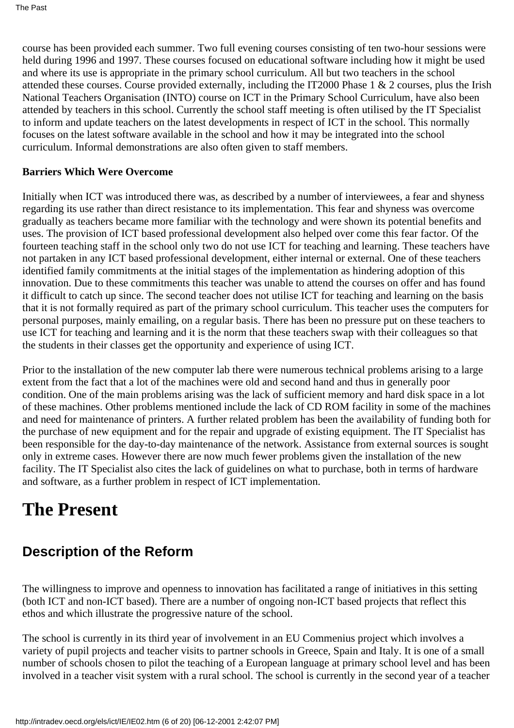course has been provided each summer. Two full evening courses consisting of ten two-hour sessions were held during 1996 and 1997. These courses focused on educational software including how it might be used and where its use is appropriate in the primary school curriculum. All but two teachers in the school attended these courses. Course provided externally, including the IT2000 Phase 1 & 2 courses, plus the Irish National Teachers Organisation (INTO) course on ICT in the Primary School Curriculum, have also been attended by teachers in this school. Currently the school staff meeting is often utilised by the IT Specialist to inform and update teachers on the latest developments in respect of ICT in the school. This normally focuses on the latest software available in the school and how it may be integrated into the school curriculum. Informal demonstrations are also often given to staff members.

#### **Barriers Which Were Overcome**

Initially when ICT was introduced there was, as described by a number of interviewees, a fear and shyness regarding its use rather than direct resistance to its implementation. This fear and shyness was overcome gradually as teachers became more familiar with the technology and were shown its potential benefits and uses. The provision of ICT based professional development also helped over come this fear factor. Of the fourteen teaching staff in the school only two do not use ICT for teaching and learning. These teachers have not partaken in any ICT based professional development, either internal or external. One of these teachers identified family commitments at the initial stages of the implementation as hindering adoption of this innovation. Due to these commitments this teacher was unable to attend the courses on offer and has found it difficult to catch up since. The second teacher does not utilise ICT for teaching and learning on the basis that it is not formally required as part of the primary school curriculum. This teacher uses the computers for personal purposes, mainly emailing, on a regular basis. There has been no pressure put on these teachers to use ICT for teaching and learning and it is the norm that these teachers swap with their colleagues so that the students in their classes get the opportunity and experience of using ICT.

Prior to the installation of the new computer lab there were numerous technical problems arising to a large extent from the fact that a lot of the machines were old and second hand and thus in generally poor condition. One of the main problems arising was the lack of sufficient memory and hard disk space in a lot of these machines. Other problems mentioned include the lack of CD ROM facility in some of the machines and need for maintenance of printers. A further related problem has been the availability of funding both for the purchase of new equipment and for the repair and upgrade of existing equipment. The IT Specialist has been responsible for the day-to-day maintenance of the network. Assistance from external sources is sought only in extreme cases. However there are now much fewer problems given the installation of the new facility. The IT Specialist also cites the lack of guidelines on what to purchase, both in terms of hardware and software, as a further problem in respect of ICT implementation.

# **The Present**

# **Description of the Reform**

The willingness to improve and openness to innovation has facilitated a range of initiatives in this setting (both ICT and non-ICT based). There are a number of ongoing non-ICT based projects that reflect this ethos and which illustrate the progressive nature of the school.

The school is currently in its third year of involvement in an EU Commenius project which involves a variety of pupil projects and teacher visits to partner schools in Greece, Spain and Italy. It is one of a small number of schools chosen to pilot the teaching of a European language at primary school level and has been involved in a teacher visit system with a rural school. The school is currently in the second year of a teacher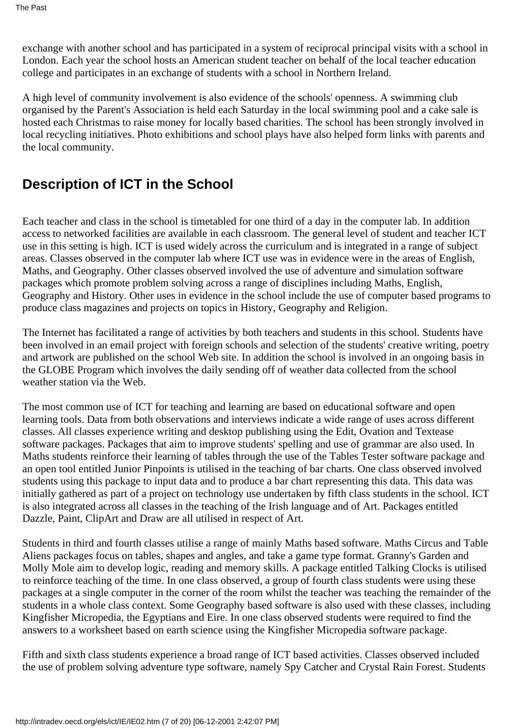exchange with another school and has participated in a system of reciprocal principal visits with a school in London. Each year the school hosts an American student teacher on behalf of the local teacher education college and participates in an exchange of students with a school in Northern Ireland.

A high level of community involvement is also evidence of the schools' openness. A swimming club organised by the Parent's Association is held each Saturday in the local swimming pool and a cake sale is hosted each Christmas to raise money for locally based charities. The school has been strongly involved in local recycling initiatives. Photo exhibitions and school plays have also helped form links with parents and the local community.

## **Description of ICT in the School**

Each teacher and class in the school is timetabled for one third of a day in the computer lab. In addition access to networked facilities are available in each classroom. The general level of student and teacher ICT use in this setting is high. ICT is used widely across the curriculum and is integrated in a range of subject areas. Classes observed in the computer lab where ICT use was in evidence were in the areas of English, Maths, and Geography. Other classes observed involved the use of adventure and simulation software packages which promote problem solving across a range of disciplines including Maths, English, Geography and History. Other uses in evidence in the school include the use of computer based programs to produce class magazines and projects on topics in History, Geography and Religion.

The Internet has facilitated a range of activities by both teachers and students in this school. Students have been involved in an email project with foreign schools and selection of the students' creative writing, poetry and artwork are published on the school Web site. In addition the school is involved in an ongoing basis in the GLOBE Program which involves the daily sending off of weather data collected from the school weather station via the Web.

The most common use of ICT for teaching and learning are based on educational software and open learning tools. Data from both observations and interviews indicate a wide range of uses across different classes. All classes experience writing and desktop publishing using the Edit, Ovation and Textease software packages. Packages that aim to improve students' spelling and use of grammar are also used. In Maths students reinforce their learning of tables through the use of the Tables Tester software package and an open tool entitled Junior Pinpoints is utilised in the teaching of bar charts. One class observed involved students using this package to input data and to produce a bar chart representing this data. This data was initially gathered as part of a project on technology use undertaken by fifth class students in the school. ICT is also integrated across all classes in the teaching of the Irish language and of Art. Packages entitled Dazzle, Paint, ClipArt and Draw are all utilised in respect of Art.

Students in third and fourth classes utilise a range of mainly Maths based software. Maths Circus and Table Aliens packages focus on tables, shapes and angles, and take a game type format. Granny's Garden and Molly Mole aim to develop logic, reading and memory skills. A package entitled Talking Clocks is utilised to reinforce teaching of the time. In one class observed, a group of fourth class students were using these packages at a single computer in the corner of the room whilst the teacher was teaching the remainder of the students in a whole class context. Some Geography based software is also used with these classes, including Kingfisher Micropedia, the Egyptians and Eire. In one class observed students were required to find the answers to a worksheet based on earth science using the Kingfisher Micropedia software package.

Fifth and sixth class students experience a broad range of ICT based activities. Classes observed included the use of problem solving adventure type software, namely Spy Catcher and Crystal Rain Forest. Students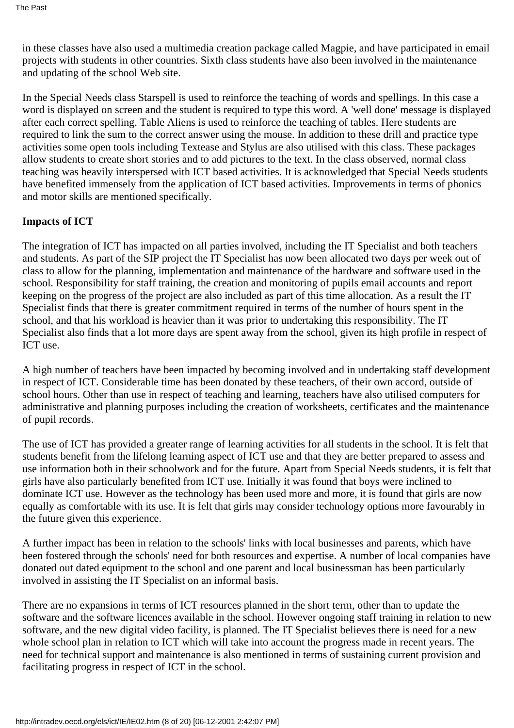in these classes have also used a multimedia creation package called Magpie, and have participated in email projects with students in other countries. Sixth class students have also been involved in the maintenance and updating of the school Web site.

In the Special Needs class Starspell is used to reinforce the teaching of words and spellings. In this case a word is displayed on screen and the student is required to type this word. A 'well done' message is displayed after each correct spelling. Table Aliens is used to reinforce the teaching of tables. Here students are required to link the sum to the correct answer using the mouse. In addition to these drill and practice type activities some open tools including Textease and Stylus are also utilised with this class. These packages allow students to create short stories and to add pictures to the text. In the class observed, normal class teaching was heavily interspersed with ICT based activities. It is acknowledged that Special Needs students have benefited immensely from the application of ICT based activities. Improvements in terms of phonics and motor skills are mentioned specifically.

#### **Impacts of ICT**

The integration of ICT has impacted on all parties involved, including the IT Specialist and both teachers and students. As part of the SIP project the IT Specialist has now been allocated two days per week out of class to allow for the planning, implementation and maintenance of the hardware and software used in the school. Responsibility for staff training, the creation and monitoring of pupils email accounts and report keeping on the progress of the project are also included as part of this time allocation. As a result the IT Specialist finds that there is greater commitment required in terms of the number of hours spent in the school, and that his workload is heavier than it was prior to undertaking this responsibility. The IT Specialist also finds that a lot more days are spent away from the school, given its high profile in respect of ICT use.

A high number of teachers have been impacted by becoming involved and in undertaking staff development in respect of ICT. Considerable time has been donated by these teachers, of their own accord, outside of school hours. Other than use in respect of teaching and learning, teachers have also utilised computers for administrative and planning purposes including the creation of worksheets, certificates and the maintenance of pupil records.

The use of ICT has provided a greater range of learning activities for all students in the school. It is felt that students benefit from the lifelong learning aspect of ICT use and that they are better prepared to assess and use information both in their schoolwork and for the future. Apart from Special Needs students, it is felt that girls have also particularly benefited from ICT use. Initially it was found that boys were inclined to dominate ICT use. However as the technology has been used more and more, it is found that girls are now equally as comfortable with its use. It is felt that girls may consider technology options more favourably in the future given this experience.

A further impact has been in relation to the schools' links with local businesses and parents, which have been fostered through the schools' need for both resources and expertise. A number of local companies have donated out dated equipment to the school and one parent and local businessman has been particularly involved in assisting the IT Specialist on an informal basis.

There are no expansions in terms of ICT resources planned in the short term, other than to update the software and the software licences available in the school. However ongoing staff training in relation to new software, and the new digital video facility, is planned. The IT Specialist believes there is need for a new whole school plan in relation to ICT which will take into account the progress made in recent years. The need for technical support and maintenance is also mentioned in terms of sustaining current provision and facilitating progress in respect of ICT in the school.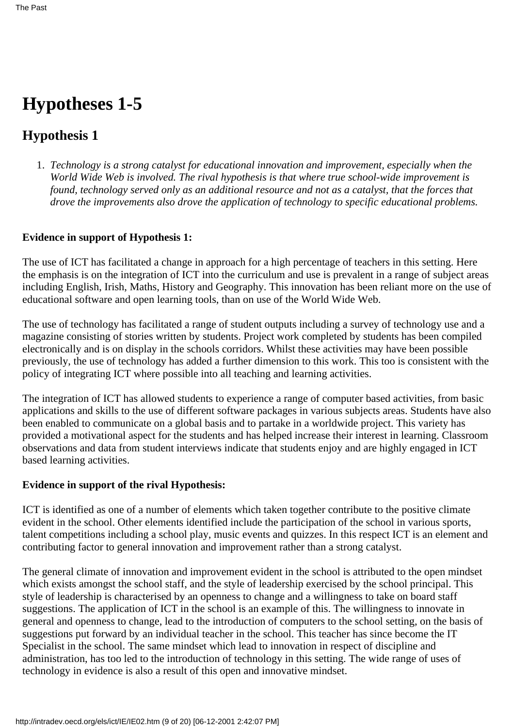# **Hypotheses 1-5**

## **Hypothesis 1**

*Technology is a strong catalyst for educational innovation and improvement, especially when the* 1. *World Wide Web is involved. The rival hypothesis is that where true school-wide improvement is found, technology served only as an additional resource and not as a catalyst, that the forces that drove the improvements also drove the application of technology to specific educational problems.*

#### **Evidence in support of Hypothesis 1:**

The use of ICT has facilitated a change in approach for a high percentage of teachers in this setting. Here the emphasis is on the integration of ICT into the curriculum and use is prevalent in a range of subject areas including English, Irish, Maths, History and Geography. This innovation has been reliant more on the use of educational software and open learning tools, than on use of the World Wide Web.

The use of technology has facilitated a range of student outputs including a survey of technology use and a magazine consisting of stories written by students. Project work completed by students has been compiled electronically and is on display in the schools corridors. Whilst these activities may have been possible previously, the use of technology has added a further dimension to this work. This too is consistent with the policy of integrating ICT where possible into all teaching and learning activities.

The integration of ICT has allowed students to experience a range of computer based activities, from basic applications and skills to the use of different software packages in various subjects areas. Students have also been enabled to communicate on a global basis and to partake in a worldwide project. This variety has provided a motivational aspect for the students and has helped increase their interest in learning. Classroom observations and data from student interviews indicate that students enjoy and are highly engaged in ICT based learning activities.

#### **Evidence in support of the rival Hypothesis:**

ICT is identified as one of a number of elements which taken together contribute to the positive climate evident in the school. Other elements identified include the participation of the school in various sports, talent competitions including a school play, music events and quizzes. In this respect ICT is an element and contributing factor to general innovation and improvement rather than a strong catalyst.

The general climate of innovation and improvement evident in the school is attributed to the open mindset which exists amongst the school staff, and the style of leadership exercised by the school principal. This style of leadership is characterised by an openness to change and a willingness to take on board staff suggestions. The application of ICT in the school is an example of this. The willingness to innovate in general and openness to change, lead to the introduction of computers to the school setting, on the basis of suggestions put forward by an individual teacher in the school. This teacher has since become the IT Specialist in the school. The same mindset which lead to innovation in respect of discipline and administration, has too led to the introduction of technology in this setting. The wide range of uses of technology in evidence is also a result of this open and innovative mindset.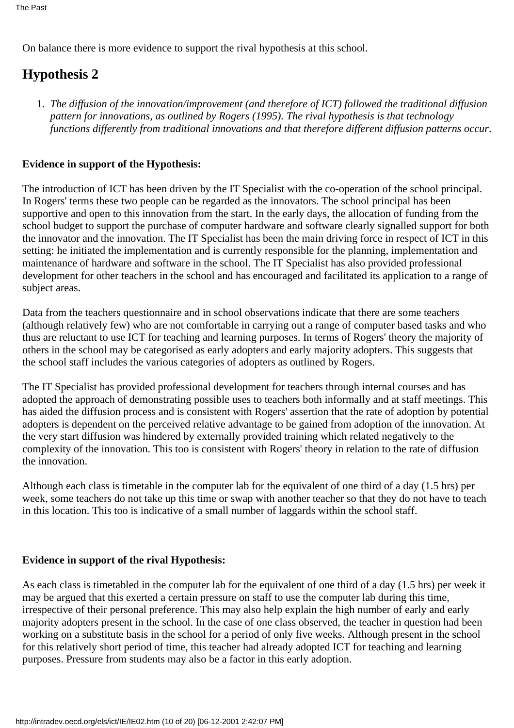On balance there is more evidence to support the rival hypothesis at this school.

## **Hypothesis 2**

*The diffusion of the innovation/improvement (and therefore of ICT) followed the traditional diffusion* 1. *pattern for innovations, as outlined by Rogers (1995). The rival hypothesis is that technology functions differently from traditional innovations and that therefore different diffusion patterns occur*.

#### **Evidence in support of the Hypothesis:**

The introduction of ICT has been driven by the IT Specialist with the co-operation of the school principal. In Rogers' terms these two people can be regarded as the innovators. The school principal has been supportive and open to this innovation from the start. In the early days, the allocation of funding from the school budget to support the purchase of computer hardware and software clearly signalled support for both the innovator and the innovation. The IT Specialist has been the main driving force in respect of ICT in this setting: he initiated the implementation and is currently responsible for the planning, implementation and maintenance of hardware and software in the school. The IT Specialist has also provided professional development for other teachers in the school and has encouraged and facilitated its application to a range of subject areas.

Data from the teachers questionnaire and in school observations indicate that there are some teachers (although relatively few) who are not comfortable in carrying out a range of computer based tasks and who thus are reluctant to use ICT for teaching and learning purposes. In terms of Rogers' theory the majority of others in the school may be categorised as early adopters and early majority adopters. This suggests that the school staff includes the various categories of adopters as outlined by Rogers.

The IT Specialist has provided professional development for teachers through internal courses and has adopted the approach of demonstrating possible uses to teachers both informally and at staff meetings. This has aided the diffusion process and is consistent with Rogers' assertion that the rate of adoption by potential adopters is dependent on the perceived relative advantage to be gained from adoption of the innovation. At the very start diffusion was hindered by externally provided training which related negatively to the complexity of the innovation. This too is consistent with Rogers' theory in relation to the rate of diffusion the innovation.

Although each class is timetable in the computer lab for the equivalent of one third of a day (1.5 hrs) per week, some teachers do not take up this time or swap with another teacher so that they do not have to teach in this location. This too is indicative of a small number of laggards within the school staff.

#### **Evidence in support of the rival Hypothesis:**

As each class is timetabled in the computer lab for the equivalent of one third of a day (1.5 hrs) per week it may be argued that this exerted a certain pressure on staff to use the computer lab during this time, irrespective of their personal preference. This may also help explain the high number of early and early majority adopters present in the school. In the case of one class observed, the teacher in question had been working on a substitute basis in the school for a period of only five weeks. Although present in the school for this relatively short period of time, this teacher had already adopted ICT for teaching and learning purposes. Pressure from students may also be a factor in this early adoption.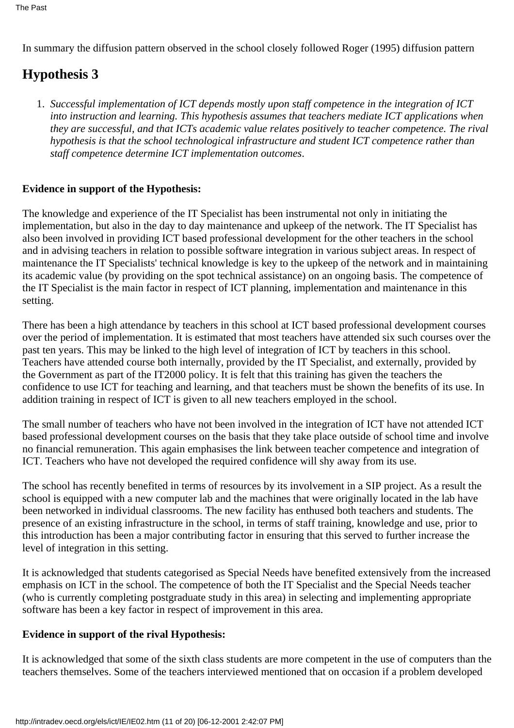In summary the diffusion pattern observed in the school closely followed Roger (1995) diffusion pattern

## **Hypothesis 3**

*Successful implementation of ICT depends mostly upon staff competence in the integration of ICT* 1. *into instruction and learning. This hypothesis assumes that teachers mediate ICT applications when* they are successful, and that ICT s academic value relates positively to teacher competence. The rival *hypothesis is that the school technological infrastructure and student ICT competence rather than staff competence determine ICT implementation outcomes*.

#### **Evidence in support of the Hypothesis:**

The knowledge and experience of the IT Specialist has been instrumental not only in initiating the implementation, but also in the day to day maintenance and upkeep of the network. The IT Specialist has also been involved in providing ICT based professional development for the other teachers in the school and in advising teachers in relation to possible software integration in various subject areas. In respect of maintenance the IT Specialists' technical knowledge is key to the upkeep of the network and in maintaining its academic value (by providing on the spot technical assistance) on an ongoing basis. The competence of the IT Specialist is the main factor in respect of ICT planning, implementation and maintenance in this setting.

There has been a high attendance by teachers in this school at ICT based professional development courses over the period of implementation. It is estimated that most teachers have attended six such courses over the past ten years. This may be linked to the high level of integration of ICT by teachers in this school. Teachers have attended course both internally, provided by the IT Specialist, and externally, provided by the Government as part of the IT2000 policy. It is felt that this training has given the teachers the confidence to use ICT for teaching and learning, and that teachers must be shown the benefits of its use. In addition training in respect of ICT is given to all new teachers employed in the school.

The small number of teachers who have not been involved in the integration of ICT have not attended ICT based professional development courses on the basis that they take place outside of school time and involve no financial remuneration. This again emphasises the link between teacher competence and integration of ICT. Teachers who have not developed the required confidence will shy away from its use.

The school has recently benefited in terms of resources by its involvement in a SIP project. As a result the school is equipped with a new computer lab and the machines that were originally located in the lab have been networked in individual classrooms. The new facility has enthused both teachers and students. The presence of an existing infrastructure in the school, in terms of staff training, knowledge and use, prior to this introduction has been a major contributing factor in ensuring that this served to further increase the level of integration in this setting.

It is acknowledged that students categorised as Special Needs have benefited extensively from the increased emphasis on ICT in the school. The competence of both the IT Specialist and the Special Needs teacher (who is currently completing postgraduate study in this area) in selecting and implementing appropriate software has been a key factor in respect of improvement in this area.

#### **Evidence in support of the rival Hypothesis:**

It is acknowledged that some of the sixth class students are more competent in the use of computers than the teachers themselves. Some of the teachers interviewed mentioned that on occasion if a problem developed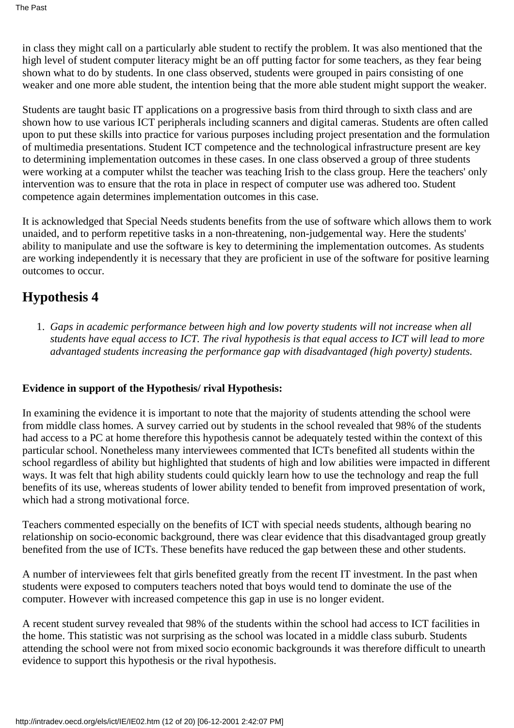in class they might call on a particularly able student to rectify the problem. It was also mentioned that the high level of student computer literacy might be an off putting factor for some teachers, as they fear being shown what to do by students. In one class observed, students were grouped in pairs consisting of one weaker and one more able student, the intention being that the more able student might support the weaker.

Students are taught basic IT applications on a progressive basis from third through to sixth class and are shown how to use various ICT peripherals including scanners and digital cameras. Students are often called upon to put these skills into practice for various purposes including project presentation and the formulation of multimedia presentations. Student ICT competence and the technological infrastructure present are key to determining implementation outcomes in these cases. In one class observed a group of three students were working at a computer whilst the teacher was teaching Irish to the class group. Here the teachers' only intervention was to ensure that the rota in place in respect of computer use was adhered too. Student competence again determines implementation outcomes in this case.

It is acknowledged that Special Needs students benefits from the use of software which allows them to work unaided, and to perform repetitive tasks in a non-threatening, non-judgemental way. Here the students' ability to manipulate and use the software is key to determining the implementation outcomes. As students are working independently it is necessary that they are proficient in use of the software for positive learning outcomes to occur.

### **Hypothesis 4**

*Gaps in academic performance between high and low poverty students will not increase when all* 1. *students have equal access to ICT. The rival hypothesis is that equal access to ICT will lead to more advantaged students increasing the performance gap with disadvantaged (high poverty) students.*

#### **Evidence in support of the Hypothesis/ rival Hypothesis:**

In examining the evidence it is important to note that the majority of students attending the school were from middle class homes. A survey carried out by students in the school revealed that 98% of the students had access to a PC at home therefore this hypothesis cannot be adequately tested within the context of this particular school. Nonetheless many interviewees commented that ICTs benefited all students within the school regardless of ability but highlighted that students of high and low abilities were impacted in different ways. It was felt that high ability students could quickly learn how to use the technology and reap the full benefits of its use, whereas students of lower ability tended to benefit from improved presentation of work, which had a strong motivational force.

Teachers commented especially on the benefits of ICT with special needs students, although bearing no relationship on socio-economic background, there was clear evidence that this disadvantaged group greatly benefited from the use of ICTs. These benefits have reduced the gap between these and other students.

A number of interviewees felt that girls benefited greatly from the recent IT investment. In the past when students were exposed to computers teachers noted that boys would tend to dominate the use of the computer. However with increased competence this gap in use is no longer evident.

A recent student survey revealed that 98% of the students within the school had access to ICT facilities in the home. This statistic was not surprising as the school was located in a middle class suburb. Students attending the school were not from mixed socio economic backgrounds it was therefore difficult to unearth evidence to support this hypothesis or the rival hypothesis.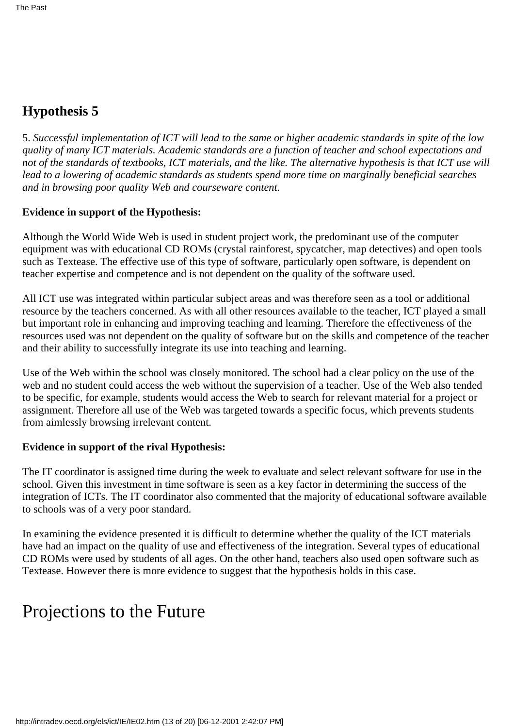### **Hypothesis 5**

5. *Successful implementation of ICT will lead to the same or higher academic standards in spite of the low quality of many ICT materials. Academic standards are a function of teacher and school expectations and* not of the standards of textbooks, ICT materials, and the like. The alternative hypothesis is that ICT use will *lead to a lowering of academic standards as students spend more time on marginally beneficial searches and in browsing poor quality Web and courseware content.*

#### **Evidence in support of the Hypothesis:**

Although the World Wide Web is used in student project work, the predominant use of the computer equipment was with educational CD ROMs (crystal rainforest, spycatcher, map detectives) and open tools such as Textease. The effective use of this type of software, particularly open software, is dependent on teacher expertise and competence and is not dependent on the quality of the software used.

All ICT use was integrated within particular subject areas and was therefore seen as a tool or additional resource by the teachers concerned. As with all other resources available to the teacher, ICT played a small but important role in enhancing and improving teaching and learning. Therefore the effectiveness of the resources used was not dependent on the quality of software but on the skills and competence of the teacher and their ability to successfully integrate its use into teaching and learning.

Use of the Web within the school was closely monitored. The school had a clear policy on the use of the web and no student could access the web without the supervision of a teacher. Use of the Web also tended to be specific, for example, students would access the Web to search for relevant material for a project or assignment. Therefore all use of the Web was targeted towards a specific focus, which prevents students from aimlessly browsing irrelevant content.

#### **Evidence in support of the rival Hypothesis:**

The IT coordinator is assigned time during the week to evaluate and select relevant software for use in the school. Given this investment in time software is seen as a key factor in determining the success of the integration of ICTs. The IT coordinator also commented that the majority of educational software available to schools was of a very poor standard.

In examining the evidence presented it is difficult to determine whether the quality of the ICT materials have had an impact on the quality of use and effectiveness of the integration. Several types of educational CD ROMs were used by students of all ages. On the other hand, teachers also used open software such as Textease. However there is more evidence to suggest that the hypothesis holds in this case.

# Projections to the Future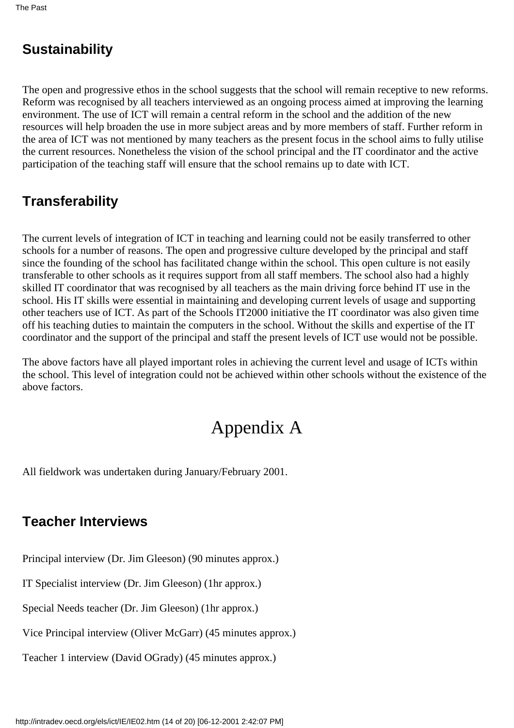# **Sustainability**

The open and progressive ethos in the school suggests that the school will remain receptive to new reforms. Reform was recognised by all teachers interviewed as an ongoing process aimed at improving the learning environment. The use of ICT will remain a central reform in the school and the addition of the new resources will help broaden the use in more subject areas and by more members of staff. Further reform in the area of ICT was not mentioned by many teachers as the present focus in the school aims to fully utilise the current resources. Nonetheless the vision of the school principal and the IT coordinator and the active participation of the teaching staff will ensure that the school remains up to date with ICT.

# **Transferability**

The current levels of integration of ICT in teaching and learning could not be easily transferred to other schools for a number of reasons. The open and progressive culture developed by the principal and staff since the founding of the school has facilitated change within the school. This open culture is not easily transferable to other schools as it requires support from all staff members. The school also had a highly skilled IT coordinator that was recognised by all teachers as the main driving force behind IT use in the school. His IT skills were essential in maintaining and developing current levels of usage and supporting other teachers use of ICT. As part of the Schools IT2000 initiative the IT coordinator was also given time off his teaching duties to maintain the computers in the school. Without the skills and expertise of the IT coordinator and the support of the principal and staff the present levels of ICT use would not be possible.

The above factors have all played important roles in achieving the current level and usage of ICTs within the school. This level of integration could not be achieved within other schools without the existence of the above factors.

# Appendix A

All fieldwork was undertaken during January/February 2001.

### **Teacher Interviews**

Principal interview (Dr. Jim Gleeson) (90 minutes approx.)

IT Specialist interview (Dr. Jim Gleeson) (1hr approx.)

Special Needs teacher (Dr. Jim Gleeson) (1hr approx.)

Vice Principal interview (Oliver McGarr) (45 minutes approx.)

Teacher 1 interview (David O Grady) (45 minutes approx.)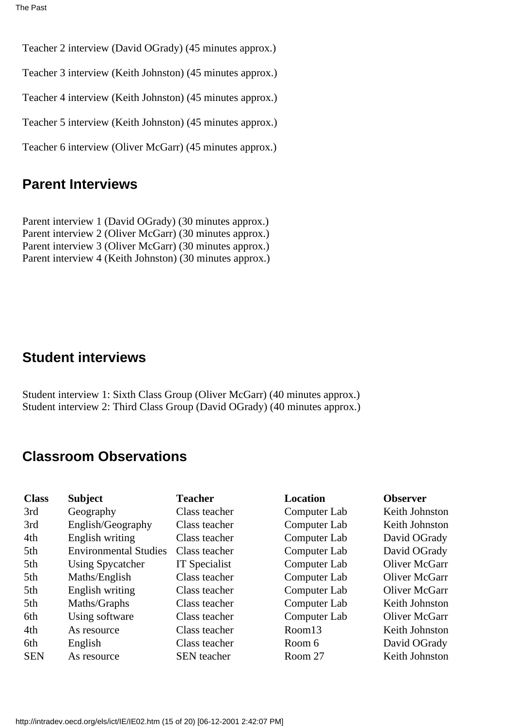Teacher 2 interview (David O Grady) (45 minutes approx.)

Teacher 3 interview (Keith Johnston) (45 minutes approx.)

Teacher 4 interview (Keith Johnston) (45 minutes approx.)

Teacher 5 interview (Keith Johnston) (45 minutes approx.)

Teacher 6 interview (Oliver McGarr) (45 minutes approx.)

### **Parent Interviews**

Parent interview 1 (David O Grady) (30 minutes approx.) Parent interview 2 (Oliver McGarr) (30 minutes approx.) Parent interview 3 (Oliver McGarr) (30 minutes approx.) Parent interview 4 (Keith Johnston) (30 minutes approx.)

### **Student interviews**

Student interview 1: Sixth Class Group (Oliver McGarr) (40 minutes approx.) Student interview 2: Third Class Group (David O Grady) (40 minutes approx.)

### **Classroom Observations**

| <b>Class</b> | <b>Subject</b>               | <b>Teacher</b>     | <b>Location</b> | <b>Observer</b> |
|--------------|------------------------------|--------------------|-----------------|-----------------|
| 3rd          | Geography                    | Class teacher      | Computer Lab    | Keith Johnston  |
| 3rd          | English/Geography            | Class teacher      | Computer Lab    | Keith Johnston  |
| 4th          | English writing              | Class teacher      | Computer Lab    | David O Grady   |
| 5th          | <b>Environmental Studies</b> | Class teacher      | Computer Lab    | David O Grady   |
| 5th          | <b>Using Spycatcher</b>      | IT Specialist      | Computer Lab    | Oliver McGarr   |
| 5th          | Maths/English                | Class teacher      | Computer Lab    | Oliver McGarr   |
| 5th          | English writing              | Class teacher      | Computer Lab    | Oliver McGarr   |
| 5th          | Maths/Graphs                 | Class teacher      | Computer Lab    | Keith Johnston  |
| 6th          | Using software               | Class teacher      | Computer Lab    | Oliver McGarr   |
| 4th          | As resource                  | Class teacher      | Room13          | Keith Johnston  |
| 6th          | English                      | Class teacher      | Room 6          | David O Grady   |
| <b>SEN</b>   | As resource                  | <b>SEN</b> teacher | Room 27         | Keith Johnston  |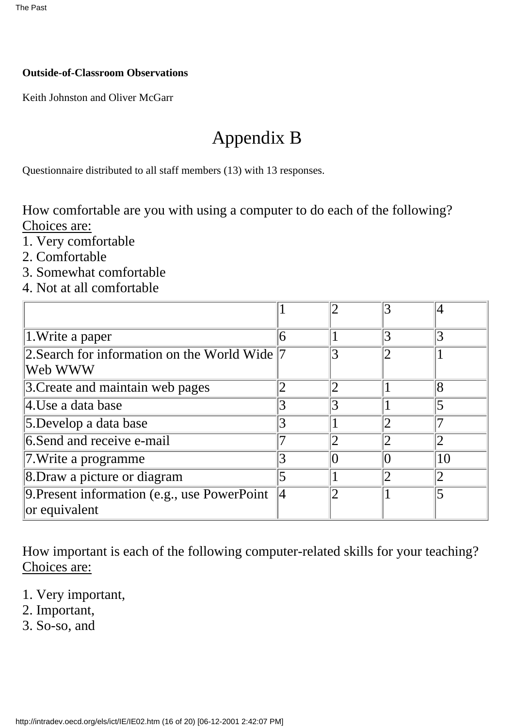#### **Outside-of-Classroom Observations**

Keith Johnston and Oliver McGarr

# Appendix B

Questionnaire distributed to all staff members (13) with 13 responses.

How comfortable are you with using a computer to do each of the following? Choices are:

- 1. Very comfortable
- 2. Comfortable
- 3. Somewhat comfortable
- 4. Not at all comfortable

|                                                               |   |   | 3              |    |
|---------------------------------------------------------------|---|---|----------------|----|
| 1. Write a paper                                              | 6 |   | 3              |    |
| 2. Search for information on the World Wide $ 7$<br>Web WWW   |   |   | $2\,$          |    |
| 3. Create and maintain web pages                              |   | 2 |                | 8  |
| 4.Use a data base                                             |   | 3 |                |    |
| 5.Develop a data base                                         | 3 |   |                |    |
| 6. Send and receive e-mail                                    |   | 2 |                |    |
| $\vert$ 7. Write a programme                                  |   |   |                | 10 |
| 8. Draw a picture or diagram                                  |   |   | $\overline{2}$ |    |
| 9. Present information (e.g., use PowerPoint<br>or equivalent | 4 | ာ |                |    |

How important is each of the following computer-related skills for your teaching? Choices are:

- 1. Very important,
- 2. Important,
- 3. So-so, and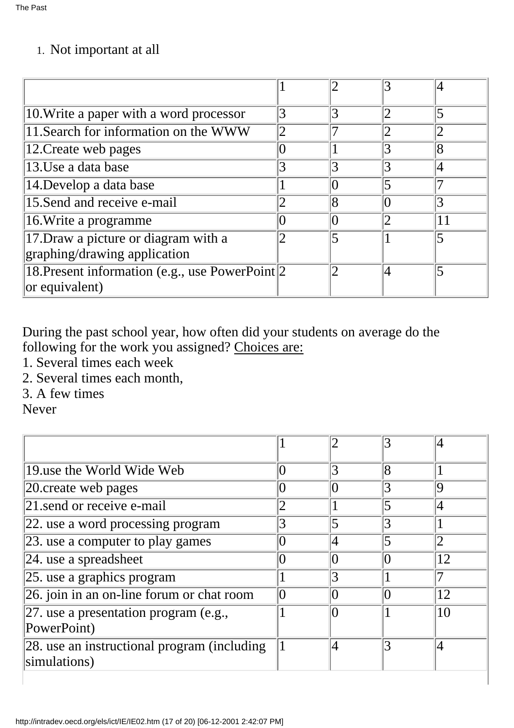## 1. Not important at all

| 10. Write a paper with a word processor         |                | 3 |   | 5              |
|-------------------------------------------------|----------------|---|---|----------------|
| 11. Search for information on the WWW           | $\overline{2}$ |   |   |                |
| 12. Create web pages                            |                |   |   | $\overline{8}$ |
| 13.Use a data base                              |                | 3 |   |                |
| 14. Develop a data base                         |                |   | 5 |                |
| 15.Send and receive e-mail                      |                | 8 |   |                |
| 16. Write a programme                           |                |   |   | 11             |
| 17. Draw a picture or diagram with a            |                | 5 |   | 5              |
| graphing/drawing application                    |                |   |   |                |
| 18. Present information (e.g., use PowerPoint 2 |                | 2 | 4 |                |
| $ $ or equivalent)                              |                |   |   |                |

During the past school year, how often did your students on average do the following for the work you assigned? Choices are:

- 1. Several times each week
- 2. Several times each month,
- 3. A few times

Never

|                                                             |   |                         | 3 |    |
|-------------------------------------------------------------|---|-------------------------|---|----|
| 19 use the World Wide Web                                   |   | 3                       | 8 |    |
| 20 create web pages                                         |   |                         | 3 | 19 |
| 21 send or receive e-mail                                   |   |                         | 5 | 4  |
| 22. use a word processing program                           |   | $\overline{\mathbf{S}}$ | 3 |    |
| 23. use a computer to play games                            |   | 4                       | 5 | 2  |
| $ 24.$ use a spreadsheet                                    |   |                         |   | 12 |
| 25. use a graphics program                                  |   |                         |   |    |
| 26. join in an on-line forum or chat room                   | 0 |                         | 0 | 12 |
| 27. use a presentation program (e.g.,<br>PowerPoint)        |   |                         |   | 10 |
| 28. use an instructional program (including<br>simulations) |   |                         | 3 | 4  |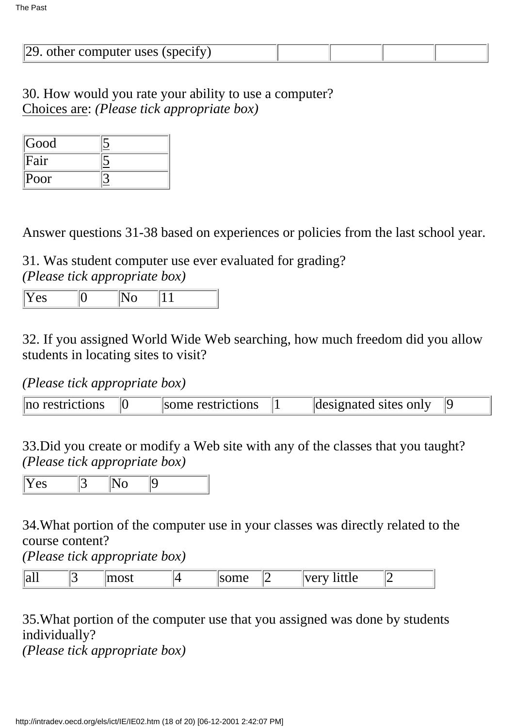| $ 29$ . other computer uses (specify) |  |  |
|---------------------------------------|--|--|

30. How would you rate your ability to use a computer? Choices are: *(Please tick appropriate box)*

| Good     |  |
|----------|--|
| Fair     |  |
| $ P$ oor |  |

Answer questions 31-38 based on experiences or policies from the last school year.

31. Was student computer use ever evaluated for grading? *(Please tick appropriate box)*

|  | ∣▼<br>. PV<br>∸ ∽ |  |  |  |
|--|-------------------|--|--|--|
|--|-------------------|--|--|--|

32. If you assigned World Wide Web searching, how much freedom did you allow students in locating sites to visit?

### *(Please tick appropriate box)*

| no restrictions | some restrictions | designated sites only |  |
|-----------------|-------------------|-----------------------|--|

33.Did you create or modify a Web site with any of the classes that you taught? *(Please tick appropriate box)*

| $-$ |  |
|-----|--|
|-----|--|

34.What portion of the computer use in your classes was directly related to the course content?

*(Please tick appropriate box)*

| - -<br>$\ $ all |  | $\sim$ |  | $\sim$ $\sim$ $\sim$ | - 44<br>$\mathbf{1}$ $\mathbf{1}$ $\mathbf{2}$ $\mathbf{3}$ $\mathbf{4}$ $\mathbf{5}$ $\mathbf{7}$<br>ி<br>$\mathbf{v}$<br>TITTIC<br>$\mathbf{u}$ | . |  |
|-----------------|--|--------|--|----------------------|---------------------------------------------------------------------------------------------------------------------------------------------------|---|--|
|-----------------|--|--------|--|----------------------|---------------------------------------------------------------------------------------------------------------------------------------------------|---|--|

### 35.What portion of the computer use that you assigned was done by students individually?

*(Please tick appropriate box)*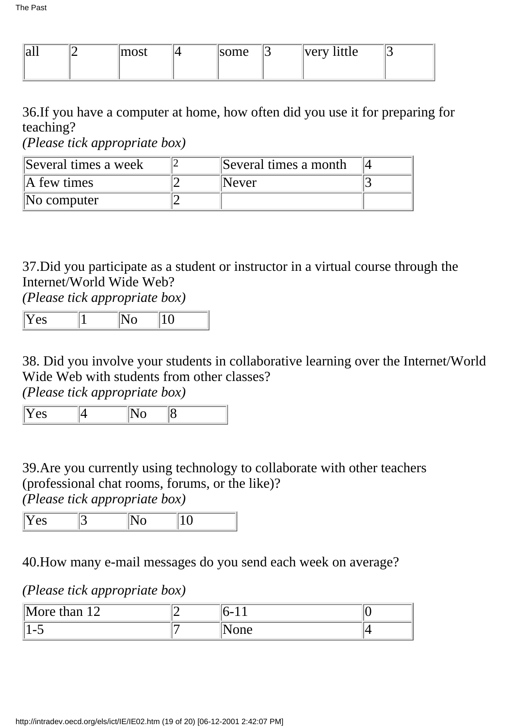| all | $\sim$<br>11100t | some | $\overline{\phantom{0}}$ | very <br>nttle |  |
|-----|------------------|------|--------------------------|----------------|--|
|     |                  |      |                          |                |  |

36.If you have a computer at home, how often did you use it for preparing for teaching?

*(Please tick appropriate box)*

| Several times a week    | Several times a month |  |
|-------------------------|-----------------------|--|
| $\mathbb{A}$ few times  | Never                 |  |
| $\mathbb{N}$ o computer |                       |  |

37.Did you participate as a student or instructor in a virtual course through the Internet/World Wide Web?

*(Please tick appropriate box)*

38. Did you involve your students in collaborative learning over the Internet/World Wide Web with students from other classes?

*(Please tick appropriate box)*

 $\overline{Y}$ es 4  $\overline{N_0}$  8

39.Are you currently using technology to collaborate with other teachers (professional chat rooms, forums, or the like)? *(Please tick appropriate box)*

|--|

40.How many e-mail messages do you send each week on average?

*(Please tick appropriate box)*

| ١M٠<br>$1^{\circ}$<br>lore than 12 | $\mathbf{r}$ |  |
|------------------------------------|--------------|--|
| $\overline{\phantom{0}}$<br>.      | vone         |  |